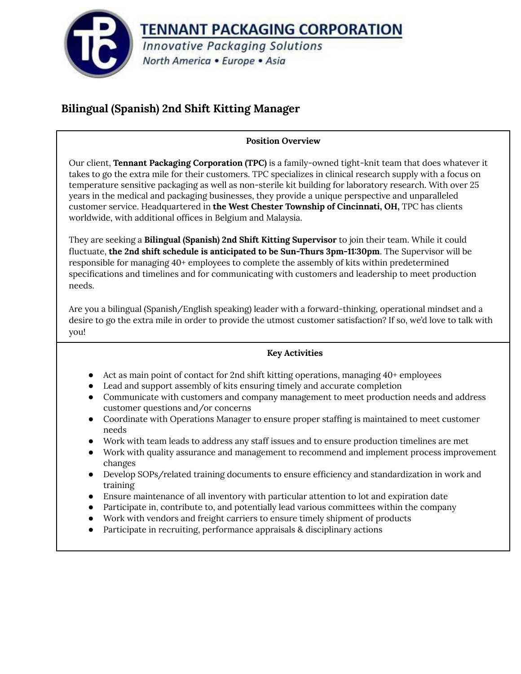

# **Bilingual (Spanish) 2nd Shift Kitting Manager**

## **Position Overview**

Our client, **Tennant Packaging Corporation (TPC)** is a family-owned tight-knit team that does whatever it takes to go the extra mile for their customers. TPC specializes in clinical research supply with a focus on temperature sensitive packaging as well as non-sterile kit building for laboratory research. With over 25 years in the medical and packaging businesses, they provide a unique perspective and unparalleled customer service. Headquartered in **the West Chester Township of Cincinnati, OH,** TPC has clients worldwide, with additional offices in Belgium and Malaysia.

They are seeking a **Bilingual (Spanish) 2nd Shift Kitting Supervisor** to join their team. While it could fluctuate, **the 2nd shift schedule is anticipated to be Sun-Thurs 3pm-11:30pm**. The Supervisor will be responsible for managing 40+ employees to complete the assembly of kits within predetermined specifications and timelines and for communicating with customers and leadership to meet production needs.

Are you a bilingual (Spanish/English speaking) leader with a forward-thinking, operational mindset and a desire to go the extra mile in order to provide the utmost customer satisfaction? If so, we'd love to talk with you!

# **Key Activities**

- Act as main point of contact for 2nd shift kitting operations, managing 40+ employees
- Lead and support assembly of kits ensuring timely and accurate completion
- Communicate with customers and company management to meet production needs and address customer questions and/or concerns
- Coordinate with Operations Manager to ensure proper staffing is maintained to meet customer needs
- Work with team leads to address any staff issues and to ensure production timelines are met
- Work with quality assurance and management to recommend and implement process improvement changes
- Develop SOPs/related training documents to ensure efficiency and standardization in work and training
- Ensure maintenance of all inventory with particular attention to lot and expiration date
- Participate in, contribute to, and potentially lead various committees within the company
- Work with vendors and freight carriers to ensure timely shipment of products
- Participate in recruiting, performance appraisals & disciplinary actions